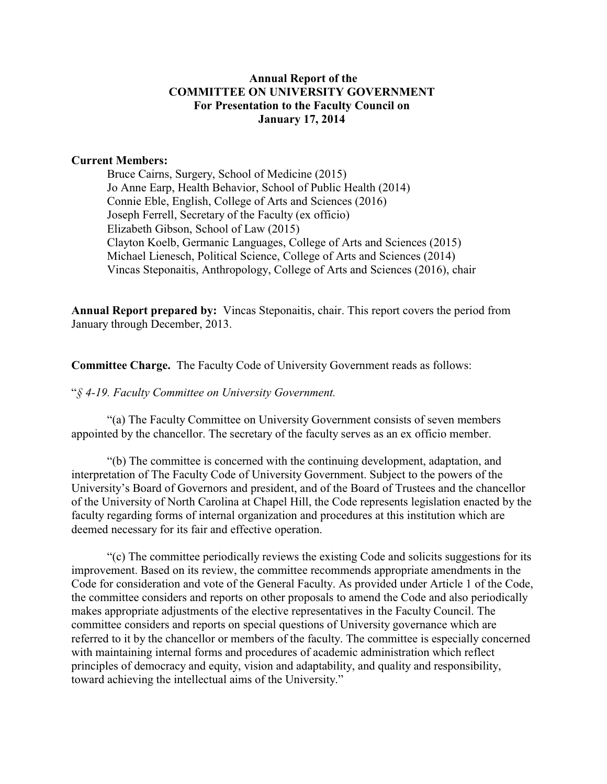### **Annual Report of the COMMITTEE ON UNIVERSITY GOVERNMENT For Presentation to the Faculty Council on January 17, 2014**

#### **Current Members:**

Bruce Cairns, Surgery, School of Medicine (2015) Jo Anne Earp, Health Behavior, School of Public Health (2014) Connie Eble, English, College of Arts and Sciences (2016) Joseph Ferrell, Secretary of the Faculty (ex officio) Elizabeth Gibson, School of Law (2015) Clayton Koelb, Germanic Languages, College of Arts and Sciences (2015) Michael Lienesch, Political Science, College of Arts and Sciences (2014) Vincas Steponaitis, Anthropology, College of Arts and Sciences (2016), chair

**Annual Report prepared by:** Vincas Steponaitis, chair. This report covers the period from January through December, 2013.

**Committee Charge.** The Faculty Code of University Government reads as follows:

"*§ 4-19. Faculty Committee on University Government.* 

"(a) The Faculty Committee on University Government consists of seven members appointed by the chancellor. The secretary of the faculty serves as an ex officio member.

"(b) The committee is concerned with the continuing development, adaptation, and interpretation of The Faculty Code of University Government. Subject to the powers of the University's Board of Governors and president, and of the Board of Trustees and the chancellor of the University of North Carolina at Chapel Hill, the Code represents legislation enacted by the faculty regarding forms of internal organization and procedures at this institution which are deemed necessary for its fair and effective operation.

"(c) The committee periodically reviews the existing Code and solicits suggestions for its improvement. Based on its review, the committee recommends appropriate amendments in the Code for consideration and vote of the General Faculty. As provided under Article 1 of the Code, the committee considers and reports on other proposals to amend the Code and also periodically makes appropriate adjustments of the elective representatives in the Faculty Council. The committee considers and reports on special questions of University governance which are referred to it by the chancellor or members of the faculty. The committee is especially concerned with maintaining internal forms and procedures of academic administration which reflect principles of democracy and equity, vision and adaptability, and quality and responsibility, toward achieving the intellectual aims of the University."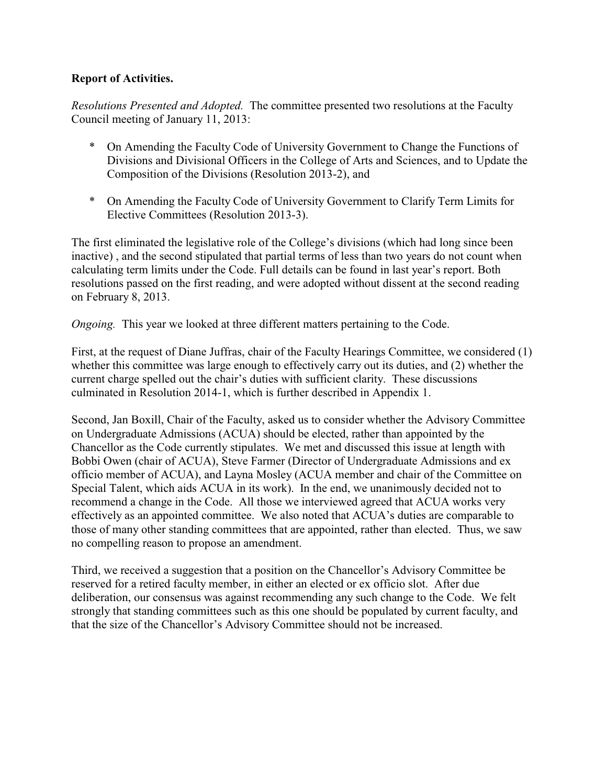### **Report of Activities.**

*Resolutions Presented and Adopted.* The committee presented two resolutions at the Faculty Council meeting of January 11, 2013:

- \* On Amending the Faculty Code of University Government to Change the Functions of Divisions and Divisional Officers in the College of Arts and Sciences, and to Update the Composition of the Divisions (Resolution 2013-2), and
- \* On Amending the Faculty Code of University Government to Clarify Term Limits for Elective Committees (Resolution 2013-3).

The first eliminated the legislative role of the College's divisions (which had long since been inactive) , and the second stipulated that partial terms of less than two years do not count when calculating term limits under the Code. Full details can be found in last year's report. Both resolutions passed on the first reading, and were adopted without dissent at the second reading on February 8, 2013.

*Ongoing.* This year we looked at three different matters pertaining to the Code.

First, at the request of Diane Juffras, chair of the Faculty Hearings Committee, we considered (1) whether this committee was large enough to effectively carry out its duties, and (2) whether the current charge spelled out the chair's duties with sufficient clarity. These discussions culminated in Resolution 2014-1, which is further described in Appendix 1.

Second, Jan Boxill, Chair of the Faculty, asked us to consider whether the Advisory Committee on Undergraduate Admissions (ACUA) should be elected, rather than appointed by the Chancellor as the Code currently stipulates. We met and discussed this issue at length with Bobbi Owen (chair of ACUA), Steve Farmer (Director of Undergraduate Admissions and ex officio member of ACUA), and Layna Mosley (ACUA member and chair of the Committee on Special Talent, which aids ACUA in its work). In the end, we unanimously decided not to recommend a change in the Code. All those we interviewed agreed that ACUA works very effectively as an appointed committee. We also noted that ACUA's duties are comparable to those of many other standing committees that are appointed, rather than elected. Thus, we saw no compelling reason to propose an amendment.

Third, we received a suggestion that a position on the Chancellor's Advisory Committee be reserved for a retired faculty member, in either an elected or ex officio slot. After due deliberation, our consensus was against recommending any such change to the Code. We felt strongly that standing committees such as this one should be populated by current faculty, and that the size of the Chancellor's Advisory Committee should not be increased.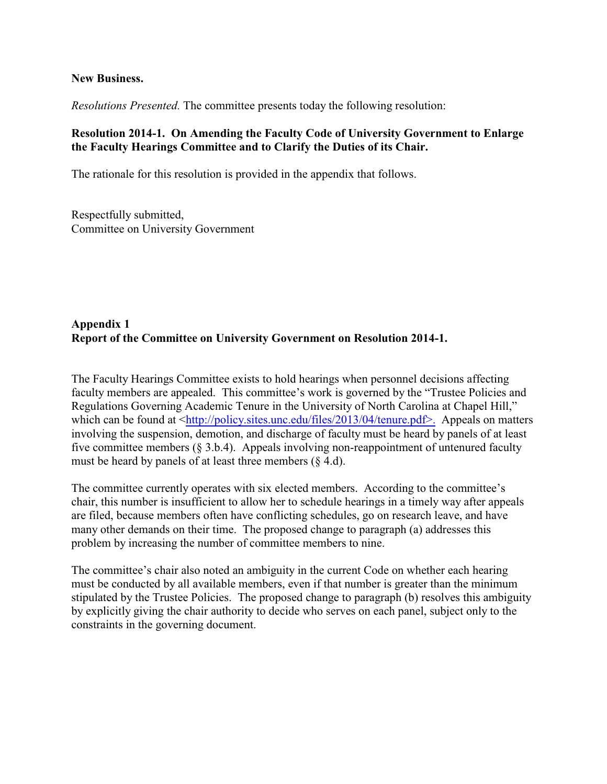#### **New Business.**

*Resolutions Presented.* The committee presents today the following resolution:

## **Resolution 2014-1. On Amending the Faculty Code of University Government to Enlarge the Faculty Hearings Committee and to Clarify the Duties of its Chair.**

The rationale for this resolution is provided in the appendix that follows.

Respectfully submitted, Committee on University Government

### **Appendix 1 Report of the Committee on University Government on Resolution 2014-1.**

The Faculty Hearings Committee exists to hold hearings when personnel decisions affecting faculty members are appealed. This committee's work is governed by the "Trustee Policies and Regulations Governing Academic Tenure in the University of North Carolina at Chapel Hill," which can be found at <<http://policy.sites.unc.edu/files/2013/04/tenure.pdf>.> Appeals on matters involving the suspension, demotion, and discharge of faculty must be heard by panels of at least five committee members (§ 3.b.4). Appeals involving non-reappointment of untenured faculty must be heard by panels of at least three members  $(\S 4.d)$ .

The committee currently operates with six elected members. According to the committee's chair, this number is insufficient to allow her to schedule hearings in a timely way after appeals are filed, because members often have conflicting schedules, go on research leave, and have many other demands on their time. The proposed change to paragraph (a) addresses this problem by increasing the number of committee members to nine.

The committee's chair also noted an ambiguity in the current Code on whether each hearing must be conducted by all available members, even if that number is greater than the minimum stipulated by the Trustee Policies. The proposed change to paragraph (b) resolves this ambiguity by explicitly giving the chair authority to decide who serves on each panel, subject only to the constraints in the governing document.